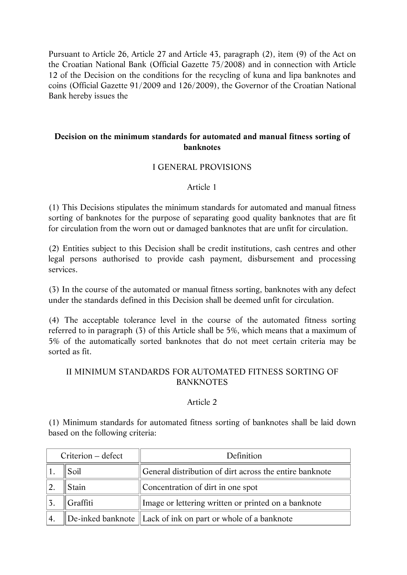Pursuant to Article 26, Article 27 and Article 43, paragraph (2), item (9) of the Act on the Croatian National Bank (Official Gazette 75/2008) and in connection with Article 12 of the Decision on the conditions for the recycling of kuna and lipa banknotes and coins (Official Gazette 91/2009 and 126/2009), the Governor of the Croatian National Bank hereby issues the

### **Decision on the minimum standards for automated and manual fitness sorting of banknotes**

### I GENERAL PROVISIONS

#### Article 1

(1) This Decisions stipulates the minimum standards for automated and manual fitness sorting of banknotes for the purpose of separating good quality banknotes that are fit for circulation from the worn out or damaged banknotes that are unfit for circulation.

(2) Entities subject to this Decision shall be credit institutions, cash centres and other legal persons authorised to provide cash payment, disbursement and processing services.

(3) In the course of the automated or manual fitness sorting, banknotes with any defect under the standards defined in this Decision shall be deemed unfit for circulation.

(4) The acceptable tolerance level in the course of the automated fitness sorting referred to in paragraph (3) of this Article shall be 5%, which means that a maximum of 5% of the automatically sorted banknotes that do not meet certain criteria may be sorted as fit.

# II MINIMUM STANDARDS FOR AUTOMATED FITNESS SORTING OF BANKNOTES

#### Article 2

(1) Minimum standards for automated fitness sorting of banknotes shall be laid down based on the following criteria:

| Criterion – defect |          | Definition                                                                             |  |
|--------------------|----------|----------------------------------------------------------------------------------------|--|
|                    | Soil     | General distribution of dirt across the entire banknote                                |  |
|                    | Stain    | Concentration of dirt in one spot                                                      |  |
|                    | Graffiti | Image or lettering written or printed on a banknote                                    |  |
| $^{\prime}$ 4.     |          | $\mathbf{D}$ De-inked banknote $\mathbf{L}$ Lack of ink on part or whole of a banknote |  |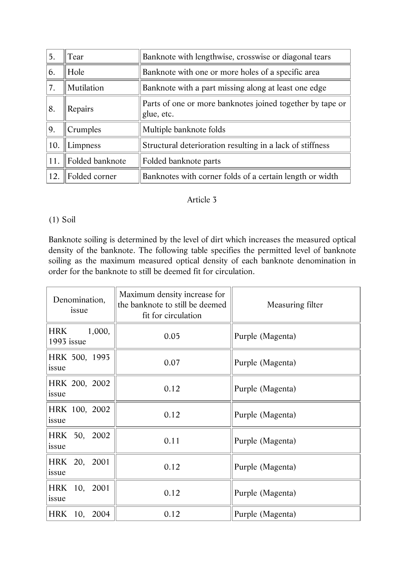| 5.  | Tear            | Banknote with lengthwise, crosswise or diagonal tears                   |  |
|-----|-----------------|-------------------------------------------------------------------------|--|
| 6.  | Hole            | Banknote with one or more holes of a specific area                      |  |
| 7.  | Mutilation      | Banknote with a part missing along at least one edge                    |  |
| 8.  | Repairs         | Parts of one or more banknotes joined together by tape or<br>glue, etc. |  |
| 9.  | Crumples        | Multiple banknote folds                                                 |  |
| 10. | Limpness        | Structural deterioration resulting in a lack of stiffness               |  |
| 11. | Folded banknote | Folded banknote parts                                                   |  |
| 12. | Folded corner   | Banknotes with corner folds of a certain length or width                |  |

### Article 3

# (1) Soil

Banknote soiling is determined by the level of dirt which increases the measured optical density of the banknote. The following table specifies the permitted level of banknote soiling as the maximum measured optical density of each banknote denomination in order for the banknote to still be deemed fit for circulation.

| Denomination,<br>issue             | Maximum density increase for<br>the banknote to still be deemed<br>fit for circulation | Measuring filter |
|------------------------------------|----------------------------------------------------------------------------------------|------------------|
| 1,000,<br><b>HRK</b><br>1993 issue | 0.05                                                                                   | Purple (Magenta) |
| HRK 500, 1993<br>issue             | 0.07                                                                                   | Purple (Magenta) |
| HRK 200, 2002<br>issue             | 0.12                                                                                   | Purple (Magenta) |
| HRK 100, 2002<br>issue             | 0.12                                                                                   | Purple (Magenta) |
| HRK 50, 2002<br>issue              | 0.11                                                                                   | Purple (Magenta) |
| HRK 20, 2001<br>issue              | 0.12                                                                                   | Purple (Magenta) |
| HRK 10, 2001<br>issue              | 0.12                                                                                   | Purple (Magenta) |
| HRK 10, 2004                       | 0.12                                                                                   | Purple (Magenta) |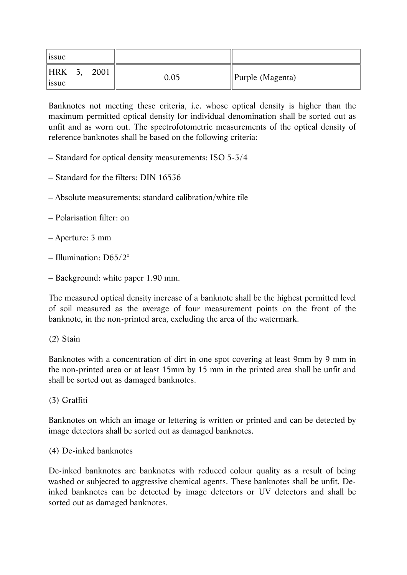| $ $ issue                                            |      |                              |
|------------------------------------------------------|------|------------------------------|
| <b>HRK</b><br>5 <sub>0</sub><br>2001<br><i>s</i> sue | 0.05 | $\parallel$ Purple (Magenta) |

Banknotes not meeting these criteria, i.e. whose optical density is higher than the maximum permitted optical density for individual denomination shall be sorted out as unfit and as worn out. The spectrofotometric measurements of the optical density of reference banknotes shall be based on the following criteria:

- Standard for optical density measurements: ISO 5-3/4
- Standard for the filters: DIN 16536
- Absolute measurements: standard calibration/white tile
- Polarisation filter: on
- Aperture: 3 mm
- Illumination: D65/2°
- Background: white paper 1.90 mm.

The measured optical density increase of a banknote shall be the highest permitted level of soil measured as the average of four measurement points on the front of the banknote, in the non-printed area, excluding the area of the watermark.

# (2) Stain

Banknotes with a concentration of dirt in one spot covering at least 9mm by 9 mm in the non-printed area or at least 15mm by 15 mm in the printed area shall be unfit and shall be sorted out as damaged banknotes.

(3) Graffiti

Banknotes on which an image or lettering is written or printed and can be detected by image detectors shall be sorted out as damaged banknotes.

(4) De-inked banknotes

De-inked banknotes are banknotes with reduced colour quality as a result of being washed or subjected to aggressive chemical agents. These banknotes shall be unfit. Deinked banknotes can be detected by image detectors or UV detectors and shall be sorted out as damaged banknotes.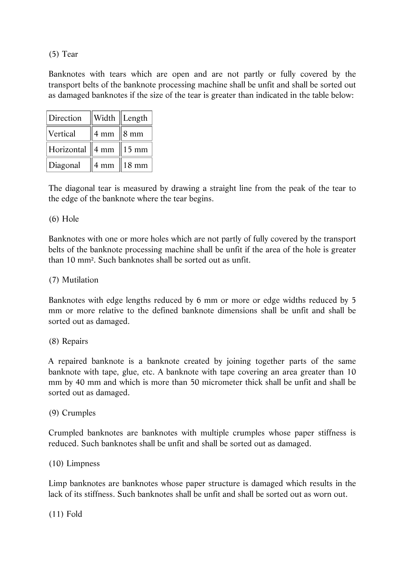(5) Tear

Banknotes with tears which are open and are not partly or fully covered by the transport belts of the banknote processing machine shall be unfit and shall be sorted out as damaged banknotes if the size of the tear is greater than indicated in the table below:

| Direction  |                  | Width   Length    |
|------------|------------------|-------------------|
| Vertical   | $4 \text{ mm}$   | $\parallel$ 8 mm  |
| Horizontal | $\parallel$ 4 mm | $\parallel$ 15 mm |
| Diagonal   | 4 mm             | 18 mm             |

The diagonal tear is measured by drawing a straight line from the peak of the tear to the edge of the banknote where the tear begins.

### (6) Hole

Banknotes with one or more holes which are not partly of fully covered by the transport belts of the banknote processing machine shall be unfit if the area of the hole is greater than 10 mm². Such banknotes shall be sorted out as unfit.

### (7) Mutilation

Banknotes with edge lengths reduced by 6 mm or more or edge widths reduced by 5 mm or more relative to the defined banknote dimensions shall be unfit and shall be sorted out as damaged.

#### (8) Repairs

A repaired banknote is a banknote created by joining together parts of the same banknote with tape, glue, etc. A banknote with tape covering an area greater than 10 mm by 40 mm and which is more than 50 micrometer thick shall be unfit and shall be sorted out as damaged.

#### (9) Crumples

Crumpled banknotes are banknotes with multiple crumples whose paper stiffness is reduced. Such banknotes shall be unfit and shall be sorted out as damaged.

#### (10) Limpness

Limp banknotes are banknotes whose paper structure is damaged which results in the lack of its stiffness. Such banknotes shall be unfit and shall be sorted out as worn out.

(11) Fold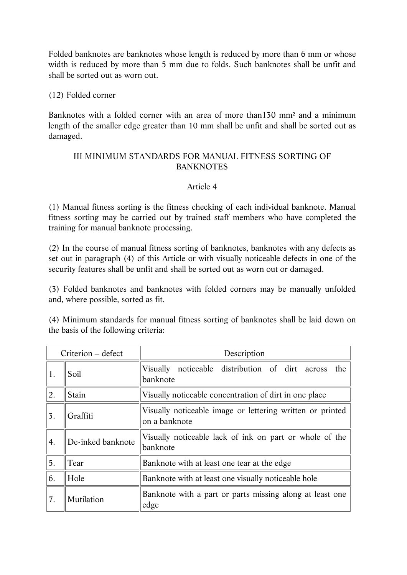Folded banknotes are banknotes whose length is reduced by more than 6 mm or whose width is reduced by more than 5 mm due to folds. Such banknotes shall be unfit and shall be sorted out as worn out.

## (12) Folded corner

Banknotes with a folded corner with an area of more than130 mm² and a minimum length of the smaller edge greater than 10 mm shall be unfit and shall be sorted out as damaged.

# III MINIMUM STANDARDS FOR MANUAL FITNESS SORTING OF BANKNOTES

# Article 4

(1) Manual fitness sorting is the fitness checking of each individual banknote. Manual fitness sorting may be carried out by trained staff members who have completed the training for manual banknote processing.

(2) In the course of manual fitness sorting of banknotes, banknotes with any defects as set out in paragraph (4) of this Article or with visually noticeable defects in one of the security features shall be unfit and shall be sorted out as worn out or damaged.

(3) Folded banknotes and banknotes with folded corners may be manually unfolded and, where possible, sorted as fit.

(4) Minimum standards for manual fitness sorting of banknotes shall be laid down on the basis of the following criteria:

| Criterion – defect |                   | Description                                                                |  |  |
|--------------------|-------------------|----------------------------------------------------------------------------|--|--|
| 1.                 | Soil              | noticeable distribution of dirt across<br>Visually<br>the<br>banknote      |  |  |
| 2.                 | Stain             | Visually noticeable concentration of dirt in one place                     |  |  |
| 3.                 | Graffiti          | Visually noticeable image or lettering written or printed<br>on a banknote |  |  |
| 4.                 | De-inked banknote | Visually noticeable lack of ink on part or whole of the<br>banknote        |  |  |
| 5.                 | Tear              | Banknote with at least one tear at the edge                                |  |  |
| 6.                 | Hole              | Banknote with at least one visually noticeable hole                        |  |  |
| 7.                 | Mutilation        | Banknote with a part or parts missing along at least one<br>edge           |  |  |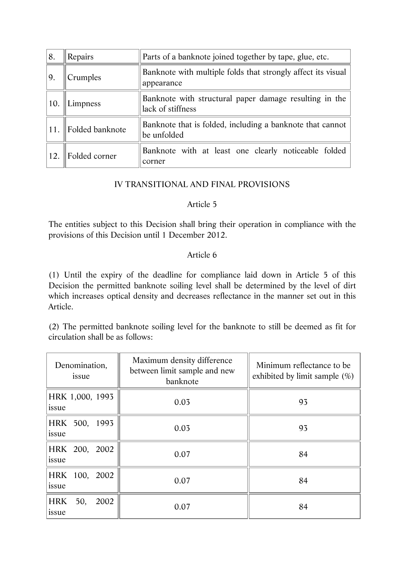| 8.  | Repairs         | Parts of a banknote joined together by tape, glue, etc.                     |  |  |
|-----|-----------------|-----------------------------------------------------------------------------|--|--|
| 9.  | Crumples        | Banknote with multiple folds that strongly affect its visual<br>appearance  |  |  |
| 10. | Limpness        | Banknote with structural paper damage resulting in the<br>lack of stiffness |  |  |
| 11. | Folded banknote | Banknote that is folded, including a banknote that cannot<br>be unfolded    |  |  |
| 12. | Folded corner   | Banknote with at least one clearly noticeable folded<br>corner              |  |  |

# IV TRANSITIONAL AND FINAL PROVISIONS

### Article 5

The entities subject to this Decision shall bring their operation in compliance with the provisions of this Decision until 1 December 2012.

# Article 6

(1) Until the expiry of the deadline for compliance laid down in Article 5 of this Decision the permitted banknote soiling level shall be determined by the level of dirt which increases optical density and decreases reflectance in the manner set out in this Article.

(2) The permitted banknote soiling level for the banknote to still be deemed as fit for circulation shall be as follows:

| Denomination,<br>issue   | Maximum density difference<br>between limit sample and new<br>banknote | Minimum reflectance to be<br>exhibited by limit sample $(\%)$ |
|--------------------------|------------------------------------------------------------------------|---------------------------------------------------------------|
| HRK 1,000, 1993<br>issue | 0.03                                                                   | 93                                                            |
| HRK 500, 1993<br>issue   | 0.03                                                                   | 93                                                            |
| HRK 200, 2002<br>issue   | 0.07                                                                   | 84                                                            |
| HRK 100, 2002<br>issue   | 0.07                                                                   | 84                                                            |
| HRK 50,<br>2002<br>issue | 0.07                                                                   | 84                                                            |